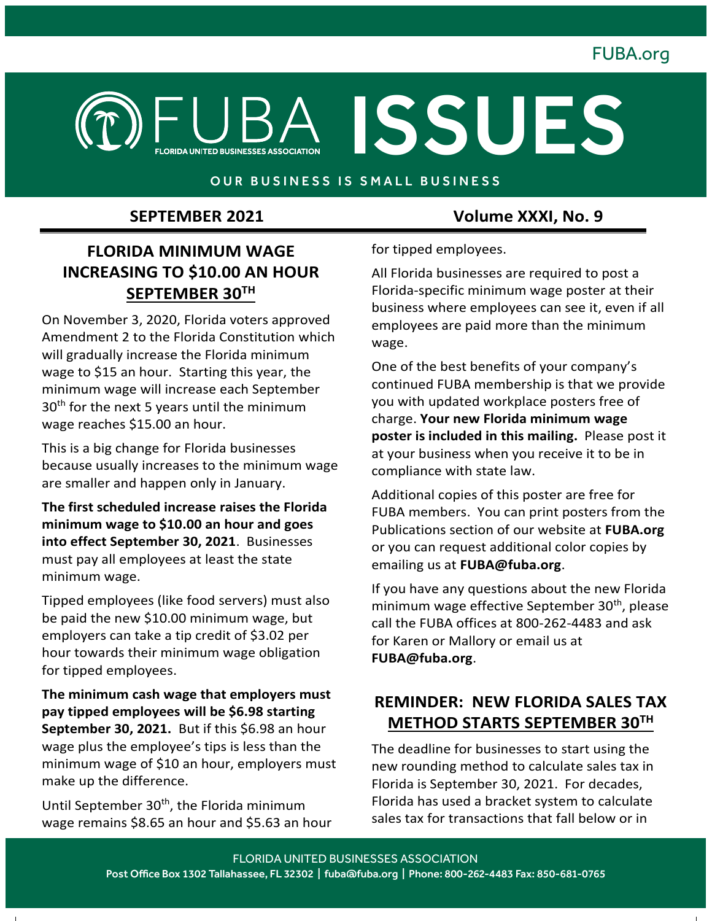## FUBA.org



#### OUR BUSINESS IS SMALL BUSINESS

### **FLORIDA MINIMUM WAGE INCREASING TO \$10.00 AN HOUR SEPTEMBER 30TH**

On November 3, 2020, Florida voters approved Amendment 2 to the Florida Constitution which will gradually increase the Florida minimum wage to \$15 an hour. Starting this year, the minimum wage will increase each September  $30<sup>th</sup>$  for the next 5 years until the minimum wage reaches \$15.00 an hour.

This is a big change for Florida businesses because usually increases to the minimum wage are smaller and happen only in January.

**The first scheduled increase raises the Florida minimum wage to \$10.00 an hour and goes into effect September 30, 2021**. Businesses must pay all employees at least the state minimum wage.

Tipped employees (like food servers) must also be paid the new \$10.00 minimum wage, but employers can take a tip credit of \$3.02 per hour towards their minimum wage obligation for tipped employees.

**The minimum cash wage that employers must pay tipped employees will be \$6.98 starting September 30, 2021.** But if this \$6.98 an hour wage plus the employee's tips is less than the minimum wage of \$10 an hour, employers must make up the difference.

Until September 30<sup>th</sup>, the Florida minimum wage remains \$8.65 an hour and \$5.63 an hour

 **SEPTEMBER 2021 Volume XXXI, No. 9**

for tipped employees.

All Florida businesses are required to post a Florida-specific minimum wage poster at their business where employees can see it, even if all employees are paid more than the minimum wage.

One of the best benefits of your company's continued FUBA membership is that we provide you with updated workplace posters free of charge. **Your new Florida minimum wage poster is included in this mailing.** Please post it at your business when you receive it to be in compliance with state law.

Additional copies of this poster are free for FUBA members. You can print posters from the Publications section of our website at **FUBA.org** or you can request additional color copies by emailing us at **FUBA@fuba.org**.

If you have any questions about the new Florida minimum wage effective September 30<sup>th</sup>, please call the FUBA offices at 800-262-4483 and ask for Karen or Mallory or email us at **FUBA@fuba.org**.

#### **REMINDER: NEW FLORIDA SALES TAX METHOD STARTS SEPTEMBER 30TH**

The deadline for businesses to start using the new rounding method to calculate sales tax in Florida is September 30, 2021. For decades, Florida has used a bracket system to calculate sales tax for transactions that fall below or in